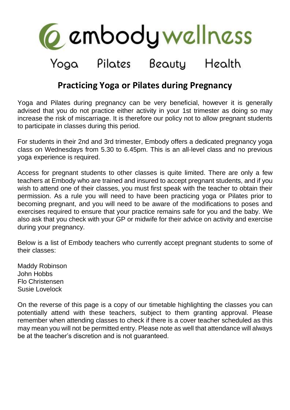

## Yoga Pilates Beauty Health

## **Practicing Yoga or Pilates during Pregnancy**

Yoga and Pilates during pregnancy can be very beneficial, however it is generally advised that you do not practice either activity in your 1st trimester as doing so may increase the risk of miscarriage. It is therefore our policy not to allow pregnant students to participate in classes during this period.

For students in their 2nd and 3rd trimester, Embody offers a dedicated pregnancy yoga class on Wednesdays from 5.30 to 6.45pm. This is an all-level class and no previous yoga experience is required.

Access for pregnant students to other classes is quite limited. There are only a few teachers at Embody who are trained and insured to accept pregnant students, and if you wish to attend one of their classes, you must first speak with the teacher to obtain their permission. As a rule you will need to have been practicing yoga or Pilates prior to becoming pregnant, and you will need to be aware of the modifications to poses and exercises required to ensure that your practice remains safe for you and the baby. We also ask that you check with your GP or midwife for their advice on activity and exercise during your pregnancy.

Below is a list of Embody teachers who currently accept pregnant students to some of their classes:

Maddy Robinson John Hobbs Flo Christensen Susie Lovelock

On the reverse of this page is a copy of our timetable highlighting the classes you can potentially attend with these teachers, subject to them granting approval. Please remember when attending classes to check if there is a cover teacher scheduled as this may mean you will not be permitted entry. Please note as well that attendance will always be at the teacher's discretion and is not guaranteed.